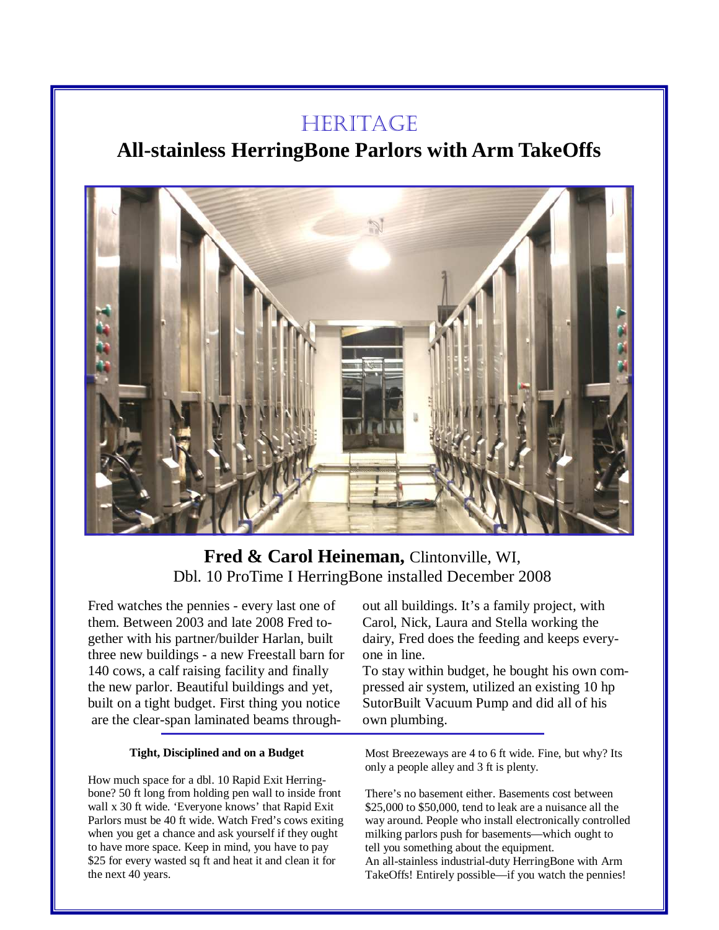# **HERITAGE**

# **All-stainless HerringBone Parlors with Arm TakeOffs**



# **Fred & Carol Heineman,** Clintonville, WI, Dbl. 10 ProTime I HerringBone installed December 2008

Fred watches the pennies - every last one of them. Between 2003 and late 2008 Fred together with his partner/builder Harlan, built three new buildings - a new Freestall barn for 140 cows, a calf raising facility and finally the new parlor. Beautiful buildings and yet, built on a tight budget. First thing you notice are the clear-span laminated beams through-

#### **Tight, Disciplined and on a Budget**

How much space for a dbl. 10 Rapid Exit Herringbone? 50 ft long from holding pen wall to inside front wall x 30 ft wide. 'Everyone knows' that Rapid Exit Parlors must be 40 ft wide. Watch Fred's cows exiting when you get a chance and ask yourself if they ought to have more space. Keep in mind, you have to pay \$25 for every wasted sq ft and heat it and clean it for the next 40 years.

out all buildings. It's a family project, with Carol, Nick, Laura and Stella working the dairy, Fred does the feeding and keeps everyone in line.

To stay within budget, he bought his own compressed air system, utilized an existing 10 hp SutorBuilt Vacuum Pump and did all of his own plumbing.

Most Breezeways are 4 to 6 ft wide. Fine, but why? Its only a people alley and 3 ft is plenty.

There's no basement either. Basements cost between \$25,000 to \$50,000, tend to leak are a nuisance all the way around. People who install electronically controlled milking parlors push for basements—which ought to tell you something about the equipment. An all-stainless industrial-duty HerringBone with Arm TakeOffs! Entirely possible—if you watch the pennies!